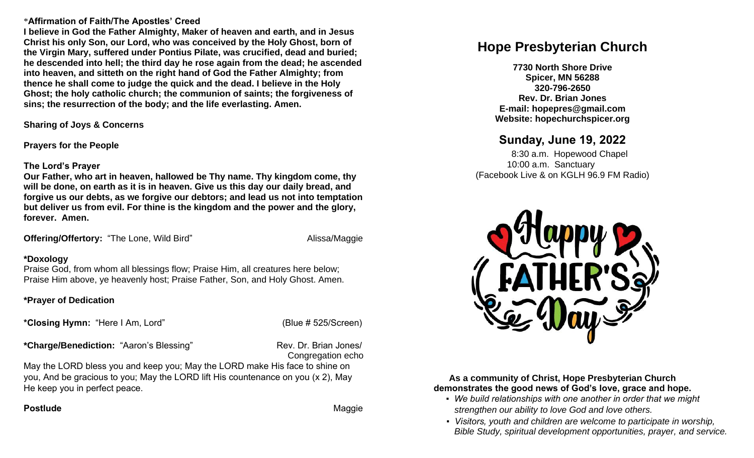## \***Affirmation of Faith/The Apostles' Creed**

**I believe in God the Father Almighty, Maker of heaven and earth, and in Jesus Christ his only Son, our Lord, who was conceived by the Holy Ghost, born of the Virgin Mary, suffered under Pontius Pilate, was crucified, dead and buried; he descended into hell; the third day he rose again from the dead; he ascended into heaven, and sitteth on the right hand of God the Father Almighty; from thence he shall come to judge the quick and the dead. I believe in the Holy Ghost; the holy catholic church; the communion of saints; the forgiveness of sins; the resurrection of the body; and the life everlasting. Amen.**

**Sharing of Joys & Concerns**

**Prayers for the People**

## **The Lord's Prayer**

**Our Father, who art in heaven, hallowed be Thy name. Thy kingdom come, thy will be done, on earth as it is in heaven. Give us this day our daily bread, and forgive us our debts, as we forgive our debtors; and lead us not into temptation but deliver us from evil. For thine is the kingdom and the power and the glory, forever. Amen.** 

**Offering/Offertory: "The Lone, Wild Bird" Maggie Alissa/Maggie** 

## **\*Doxology**

Praise God, from whom all blessings flow; Praise Him, all creatures here below; Praise Him above, ye heavenly host; Praise Father, Son, and Holy Ghost. Amen.

## **\*Prayer of Dedication**

**\*Closing Hymn:** "Here I Am, Lord" (Blue # 525/Screen)

\*Charge/Benediction: "Aaron's Blessing" Rev. Dr. Brian Jones/

Congregation echo

May the LORD bless you and keep you; May the LORD make His face to shine on you, And be gracious to you; May the LORD lift His countenance on you (x 2), May He keep you in perfect peace.

## **Postlude Contract Contract Contract Contract Contract Contract Contract Contract Contract Contract Contract Contract Contract Contract Contract Contract Contract Contract Contract Contract Contract Contract Contract Contr**

# **Hope Presbyterian Church**

**7730 North Shore Drive Spicer, MN 56288 320-796-2650 Rev. Dr. Brian Jones E-mail: hopepres@gmail.com Website: hopechurchspicer.org**

## **Sunday, June 19, 2022**

 8:30 a.m. Hopewood Chapel 10:00 a.m. Sanctuary (Facebook Live & on KGLH 96.9 FM Radio)



**As a community of Christ, Hope Presbyterian Church demonstrates the good news of God's love, grace and hope.**

- *We build relationships with one another in order that we might strengthen our ability to love God and love others.*
- *Visitors, youth and children are welcome to participate in worship, Bible Study, spiritual development opportunities, prayer, and service.*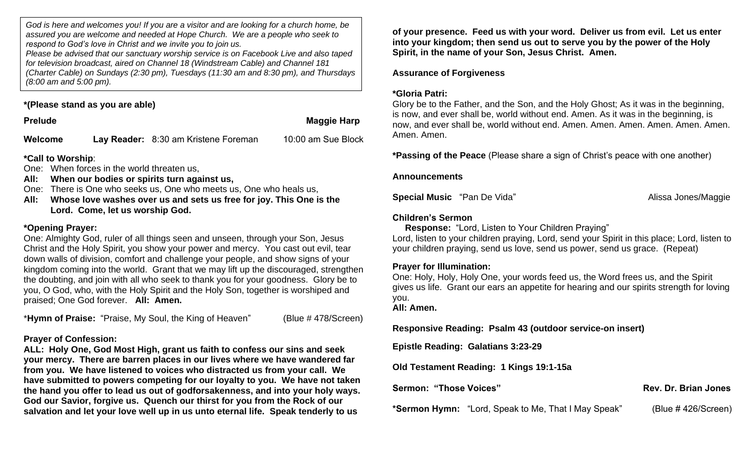*God is here and welcomes you! If you are a visitor and are looking for a church home, be assured you are welcome and needed at Hope Church. We are a people who seek to respond to God's love in Christ and we invite you to join us.*

*Please be advised that our sanctuary worship service is on Facebook Live and also taped for television broadcast, aired on Channel 18 (Windstream Cable) and Channel 181 (Charter Cable) on Sundays (2:30 pm), Tuesdays (11:30 am and 8:30 pm), and Thursdays (8:00 am and 5:00 pm).*

## **\*(Please stand as you are able)**

**Prelude Maggie Harp** 

**Welcome Lay Reader:** 8:30 am Kristene Foreman 10:00 am Sue Block

## **\*Call to Worship**:

One: When forces in the world threaten us,

**All: When our bodies or spirits turn against us,** 

One: There is One who seeks us, One who meets us, One who heals us,

**All: Whose love washes over us and sets us free for joy. This One is the Lord. Come, let us worship God.**

## **\*Opening Prayer:**

One: Almighty God, ruler of all things seen and unseen, through your Son, Jesus Christ and the Holy Spirit, you show your power and mercy. You cast out evil, tear down walls of division, comfort and challenge your people, and show signs of your kingdom coming into the world. Grant that we may lift up the discouraged, strengthen the doubting, and join with all who seek to thank you for your goodness. Glory be to you, O God, who, with the Holy Spirit and the Holy Son, together is worshiped and praised; One God forever. **All: Amen.**

\***Hymn of Praise:** "Praise, My Soul, the King of Heaven" (Blue # 478/Screen)

## **Prayer of Confession:**

**ALL: Holy One, God Most High, grant us faith to confess our sins and seek your mercy. There are barren places in our lives where we have wandered far from you. We have listened to voices who distracted us from your call. We have submitted to powers competing for our loyalty to you. We have not taken the hand you offer to lead us out of godforsakenness, and into your holy ways. God our Savior, forgive us. Quench our thirst for you from the Rock of our salvation and let your love well up in us unto eternal life. Speak tenderly to us** 

**of your presence. Feed us with your word. Deliver us from evil. Let us enter into your kingdom; then send us out to serve you by the power of the Holy Spirit, in the name of your Son, Jesus Christ. Amen.**

## **Assurance of Forgiveness**

## **\*Gloria Patri:**

Glory be to the Father, and the Son, and the Holy Ghost; As it was in the beginning, is now, and ever shall be, world without end. Amen. As it was in the beginning, is now, and ever shall be, world without end. Amen. Amen. Amen. Amen. Amen. Amen. Amen. Amen.

**\*Passing of the Peace** (Please share a sign of Christ's peace with one another)

#### **Announcements**

**Special Music** "Pan De Vida" Alissa Jones/Maggie

## **Children's Sermon**

 **Response:** "Lord, Listen to Your Children Praying" Lord, listen to your children praying, Lord, send your Spirit in this place; Lord, listen to your children praying, send us love, send us power, send us grace. (Repeat)

## **Prayer for Illumination:**

One: Holy, Holy, Holy One, your words feed us, the Word frees us, and the Spirit gives us life. Grant our ears an appetite for hearing and our spirits strength for loving you.

**All: Amen.**

**Responsive Reading: Psalm 43 (outdoor service-on insert)**

**Epistle Reading: Galatians 3:23-29**

**Old Testament Reading: 1 Kings 19:1-15a**

**Sermon: "Those Voices" Contract Contract Contract Contract Contract Contract Contract Contract Contract Contract Contract Contract Contract Contract Contract Contract Contract Contract Contract Contract Contract Contract** 

**\*Sermon Hymn:** "Lord, Speak to Me, That I May Speak" (Blue # 426/Screen)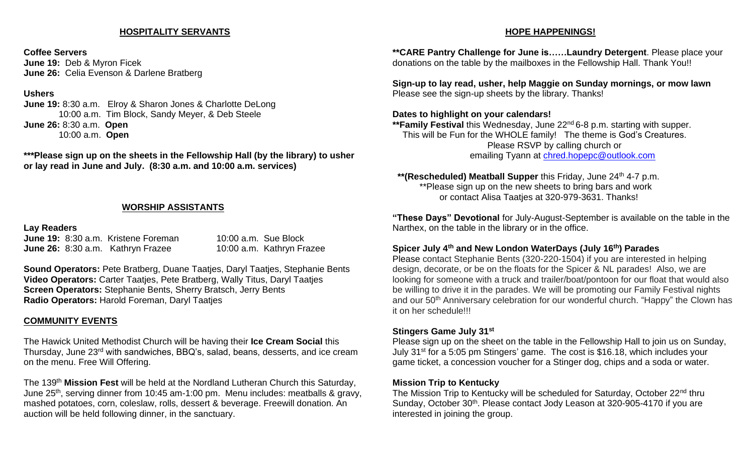#### **HOSPITALITY SERVANTS**

#### **Coffee Servers**

**June 19:** Deb & Myron Ficek **June 26:** Celia Evenson & Darlene Bratberg

### **Ushers**

**June 19:** 8:30 a.m. Elroy & Sharon Jones & Charlotte DeLong 10:00 a.m. Tim Block, Sandy Meyer, & Deb Steele **June 26:** 8:30 a.m. **Open** 10:00 a.m. **Open**

**\*\*\*Please sign up on the sheets in the Fellowship Hall (by the library) to usher or lay read in June and July. (8:30 a.m. and 10:00 a.m. services)**

## **WORSHIP ASSISTANTS**

#### **Lay Readers**

**June 19:** 8:30 a.m. Kristene Foreman 10:00 a.m. Sue Block **June 26:** 8:30 a.m. Kathryn Frazee 10:00 a.m. Kathryn Frazee

**Sound Operators:** Pete Bratberg, Duane Taatjes, Daryl Taatjes, Stephanie Bents **Video Operators:** Carter Taatjes, Pete Bratberg, Wally Titus, Daryl Taatjes **Screen Operators:** Stephanie Bents, Sherry Bratsch, Jerry Bents **Radio Operators:** Harold Foreman, Daryl Taatjes

## **COMMUNITY EVENTS**

The Hawick United Methodist Church will be having their **Ice Cream Social** this Thursday, June 23rd with sandwiches, BBQ's, salad, beans, desserts, and ice cream on the menu. Free Will Offering.

The 139th **Mission Fest** will be held at the Nordland Lutheran Church this Saturday, June 25<sup>th</sup>, serving dinner from 10:45 am-1:00 pm. Menu includes: meatballs & gravy, mashed potatoes, corn, coleslaw, rolls, dessert & beverage. Freewill donation. An auction will be held following dinner, in the sanctuary.

#### **HOPE HAPPENINGS!**

**\*\*CARE Pantry Challenge for June is……Laundry Detergent**. Please place your donations on the table by the mailboxes in the Fellowship Hall. Thank You!!

**Sign-up to lay read, usher, help Maggie on Sunday mornings, or mow lawn** Please see the sign-up sheets by the library. Thanks!

#### **Dates to highlight on your calendars!**

\*\***Family Festival** this Wednesday, June 22<sup>nd</sup> 6-8 p.m. starting with supper. This will be Fun for the WHOLE family! The theme is God's Creatures. Please RSVP by calling church or emailing Tyann at [chred.hopepc@outlook.com](mailto:chred.hopepc@outlook.com)

 **\*\*(Rescheduled) Meatball Supper** this Friday, June 24th 4-7 p.m. \*\*Please sign up on the new sheets to bring bars and work or contact Alisa Taatjes at 320-979-3631. Thanks!

**"These Days" Devotional** for July-August-September is available on the table in the Narthex, on the table in the library or in the office.

## **Spicer July 4th and New London WaterDays (July 16th) Parades**

Please contact Stephanie Bents (320-220-1504) if you are interested in helping design, decorate, or be on the floats for the Spicer & NL parades! Also, we are looking for someone with a truck and trailer/boat/pontoon for our float that would also be willing to drive it in the parades. We will be promoting our Family Festival nights and our 50<sup>th</sup> Anniversary celebration for our wonderful church. "Happy" the Clown has it on her schedule!!!

### **Stingers Game July 31st**

Please sign up on the sheet on the table in the Fellowship Hall to join us on Sunday, July 31st for a 5:05 pm Stingers' game. The cost is \$16.18, which includes your game ticket, a concession voucher for a Stinger dog, chips and a soda or water.

### **Mission Trip to Kentucky**

The Mission Trip to Kentucky will be scheduled for Saturday, October 22<sup>nd</sup> thru Sunday, October 30<sup>th</sup>. Please contact Jody Leason at 320-905-4170 if you are interested in joining the group.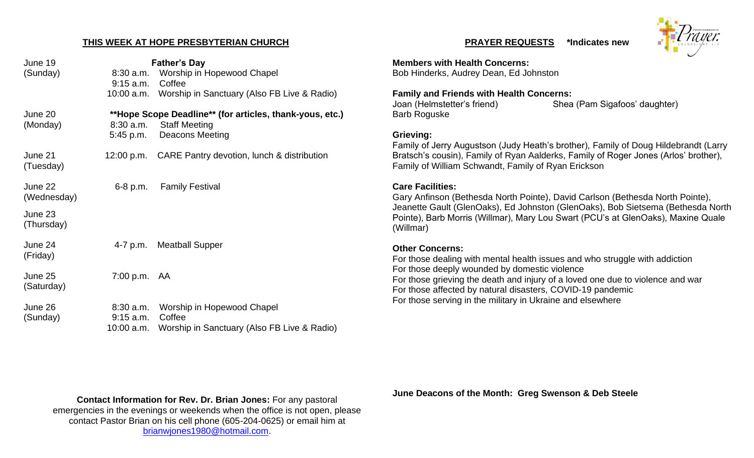#### **THIS WEEK AT HOPE PRESBYTERIAN CHURCH**

| June 19                | <b>Father's Day</b>        |                                                                                  | <b>Members with He</b>                                             |
|------------------------|----------------------------|----------------------------------------------------------------------------------|--------------------------------------------------------------------|
| (Sunday)               | $8:30$ a.m.<br>$9:15$ a.m. | Worship in Hopewood Chapel<br>Coffee                                             | Bob Hinderks, Aud                                                  |
|                        |                            | 10:00 a.m. Worship in Sanctuary (Also FB Live & Radio)                           | <b>Family and Frien</b><br>Joan (Helmstetter'                      |
| June 20<br>(Monday)    | $8:30$ a.m.                | **Hope Scope Deadline** (for articles, thank-yous, etc.)<br><b>Staff Meeting</b> | <b>Barb Roguske</b>                                                |
|                        | 5:45 p.m.                  | <b>Deacons Meeting</b>                                                           | Grieving:<br>Family of Jerry Au                                    |
| June 21<br>(Tuesday)   |                            | 12:00 p.m. CARE Pantry devotion, lunch & distribution                            | Bratsch's cousin),<br>Family of William 9                          |
| June 22<br>(Wednesday) | $6-8$ p.m.                 | <b>Family Festival</b>                                                           | <b>Care Facilities:</b><br>Gary Anfinson (Be<br>Jeanette Gault (GI |
| June 23<br>(Thursday)  |                            |                                                                                  | Pointe), Barb Morr<br>(Willmar)                                    |
| June 24<br>(Friday)    | 4-7 p.m.                   | <b>Meatball Supper</b>                                                           | <b>Other Concerns:</b><br>For those dealing                        |
| June 25<br>(Saturday)  | 7:00 p.m. AA               |                                                                                  | For those deeply v<br>For those grieving<br>For those affected     |
| June 26                |                            | 8:30 a.m. Worship in Hopewood Chapel                                             | For those serving                                                  |
| (Sunday)               | $9:15$ a.m.<br>10:00 a.m.  | Coffee<br>Worship in Sanctuary (Also FB Live & Radio)                            |                                                                    |

#### **PRAYER REQUESTS \*Indicates new**



**Manufolds** Concerns: drey Dean, Ed Johnston

**Railth Concerns:** 

's friend) Shea (Pam Sigafoos' daughter)

Igustson (Judy Heath's brother), Family of Doug Hildebrandt (Larry Family of Ryan Aalderks, Family of Roger Jones (Arlos' brother), Schwandt, Family of Ryan Erickson

ethesda North Pointe), David Carlson (Bethesda North Pointe), lenOaks), Ed Johnston (GlenOaks), Bob Sietsema (Bethesda North ris (Willmar), Mary Lou Swart (PCU's at GlenOaks), Maxine Quale

## **Other Concerns:**

with mental health issues and who struggle with addiction wounded by domestic violence the death and injury of a loved one due to violence and war by natural disasters, COVID-19 pandemic in the military in Ukraine and elsewhere

**Contact Information for Rev. Dr. Brian Jones:** For any pastoral emergencies in the evenings or weekends when the office is not open, please contact Pastor Brian on his cell phone (605-204-0625) or email him at [brianwjones1980@hotmail.com.](mailto:brianwjones1980@hotmail.com)

**June Deacons of the Month: Greg Swenson & Deb Steele**